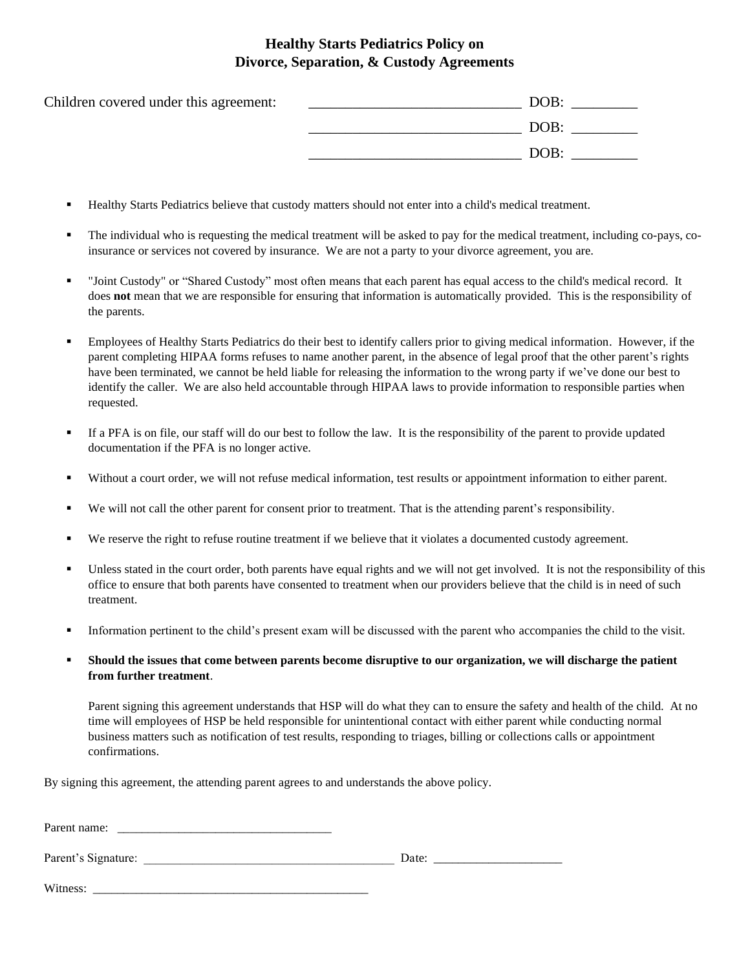## **Healthy Starts Pediatrics Policy on Divorce, Separation, & Custody Agreements**

| Children covered under this agreement: | DOB: |
|----------------------------------------|------|
|                                        | DOB: |
|                                        | DOB: |

- Healthy Starts Pediatrics believe that custody matters should not enter into a child's medical treatment.
- The individual who is requesting the medical treatment will be asked to pay for the medical treatment, including co-pays, coinsurance or services not covered by insurance. We are not a party to your divorce agreement, you are.
- "Joint Custody" or "Shared Custody" most often means that each parent has equal access to the child's medical record. It does **not** mean that we are responsible for ensuring that information is automatically provided. This is the responsibility of the parents.
- Employees of Healthy Starts Pediatrics do their best to identify callers prior to giving medical information. However, if the parent completing HIPAA forms refuses to name another parent, in the absence of legal proof that the other parent's rights have been terminated, we cannot be held liable for releasing the information to the wrong party if we've done our best to identify the caller. We are also held accountable through HIPAA laws to provide information to responsible parties when requested.
- If a PFA is on file, our staff will do our best to follow the law. It is the responsibility of the parent to provide updated documentation if the PFA is no longer active.
- Without a court order, we will not refuse medical information, test results or appointment information to either parent.
- We will not call the other parent for consent prior to treatment. That is the attending parent's responsibility.
- We reserve the right to refuse routine treatment if we believe that it violates a documented custody agreement.
- Unless stated in the court order, both parents have equal rights and we will not get involved. It is not the responsibility of this office to ensure that both parents have consented to treatment when our providers believe that the child is in need of such treatment.
- Information pertinent to the child's present exam will be discussed with the parent who accompanies the child to the visit.
- Should the issues that come between parents become disruptive to our organization, we will discharge the patient **from further treatment**.

Parent signing this agreement understands that HSP will do what they can to ensure the safety and health of the child. At no time will employees of HSP be held responsible for unintentional contact with either parent while conducting normal business matters such as notification of test results, responding to triages, billing or collections calls or appointment confirmations.

By signing this agreement, the attending parent agrees to and understands the above policy.

| Parent name:        |       |  |
|---------------------|-------|--|
| Parent's Signature: | Date: |  |
| Witness:            |       |  |